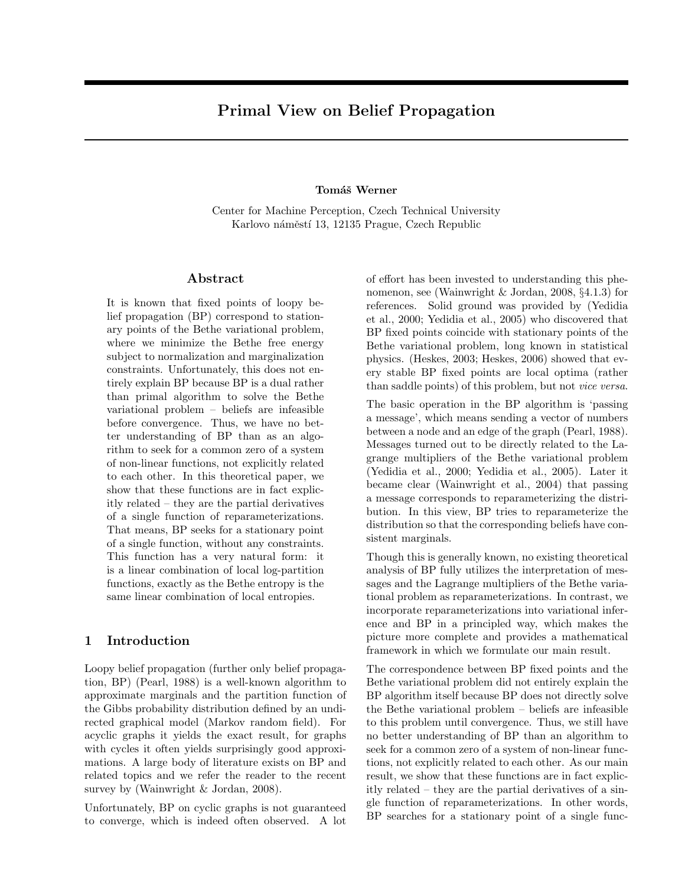# Primal View on Belief Propagation

# Tomáš Werner

Center for Machine Perception, Czech Technical University Karlovo náměstí 13, 12135 Prague, Czech Republic

#### Abstract

It is known that fixed points of loopy belief propagation (BP) correspond to stationary points of the Bethe variational problem, where we minimize the Bethe free energy subject to normalization and marginalization constraints. Unfortunately, this does not entirely explain BP because BP is a dual rather than primal algorithm to solve the Bethe variational problem – beliefs are infeasible before convergence. Thus, we have no better understanding of BP than as an algorithm to seek for a common zero of a system of non-linear functions, not explicitly related to each other. In this theoretical paper, we show that these functions are in fact explicitly related – they are the partial derivatives of a single function of reparameterizations. That means, BP seeks for a stationary point of a single function, without any constraints. This function has a very natural form: it is a linear combination of local log-partition functions, exactly as the Bethe entropy is the same linear combination of local entropies.

# 1 Introduction

Loopy belief propagation (further only belief propagation, BP) (Pearl, 1988) is a well-known algorithm to approximate marginals and the partition function of the Gibbs probability distribution defined by an undirected graphical model (Markov random field). For acyclic graphs it yields the exact result, for graphs with cycles it often yields surprisingly good approximations. A large body of literature exists on BP and related topics and we refer the reader to the recent survey by (Wainwright & Jordan, 2008).

Unfortunately, BP on cyclic graphs is not guaranteed to converge, which is indeed often observed. A lot

of effort has been invested to understanding this phenomenon, see (Wainwright & Jordan, 2008, §4.1.3) for references. Solid ground was provided by (Yedidia et al., 2000; Yedidia et al., 2005) who discovered that BP fixed points coincide with stationary points of the Bethe variational problem, long known in statistical physics. (Heskes, 2003; Heskes, 2006) showed that every stable BP fixed points are local optima (rather than saddle points) of this problem, but not vice versa.

The basic operation in the BP algorithm is 'passing a message', which means sending a vector of numbers between a node and an edge of the graph (Pearl, 1988). Messages turned out to be directly related to the Lagrange multipliers of the Bethe variational problem (Yedidia et al., 2000; Yedidia et al., 2005). Later it became clear (Wainwright et al., 2004) that passing a message corresponds to reparameterizing the distribution. In this view, BP tries to reparameterize the distribution so that the corresponding beliefs have consistent marginals.

Though this is generally known, no existing theoretical analysis of BP fully utilizes the interpretation of messages and the Lagrange multipliers of the Bethe variational problem as reparameterizations. In contrast, we incorporate reparameterizations into variational inference and BP in a principled way, which makes the picture more complete and provides a mathematical framework in which we formulate our main result.

The correspondence between BP fixed points and the Bethe variational problem did not entirely explain the BP algorithm itself because BP does not directly solve the Bethe variational problem – beliefs are infeasible to this problem until convergence. Thus, we still have no better understanding of BP than an algorithm to seek for a common zero of a system of non-linear functions, not explicitly related to each other. As our main result, we show that these functions are in fact explicitly related – they are the partial derivatives of a single function of reparameterizations. In other words, BP searches for a stationary point of a single func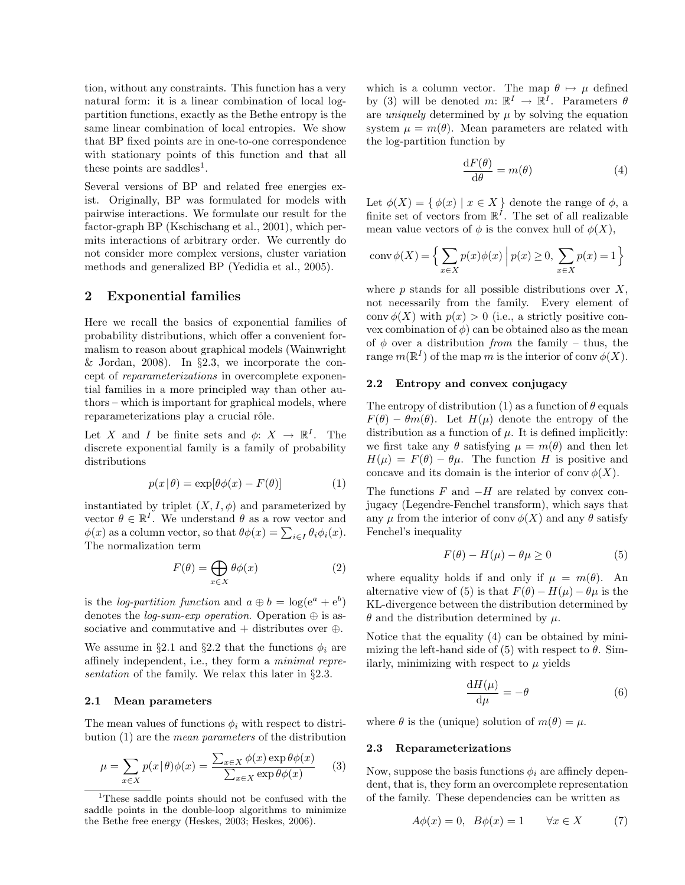tion, without any constraints. This function has a very natural form: it is a linear combination of local logpartition functions, exactly as the Bethe entropy is the same linear combination of local entropies. We show that BP fixed points are in one-to-one correspondence with stationary points of this function and that all these points are saddles<sup>1</sup>.

Several versions of BP and related free energies exist. Originally, BP was formulated for models with pairwise interactions. We formulate our result for the factor-graph BP (Kschischang et al., 2001), which permits interactions of arbitrary order. We currently do not consider more complex versions, cluster variation methods and generalized BP (Yedidia et al., 2005).

### 2 Exponential families

Here we recall the basics of exponential families of probability distributions, which offer a convenient formalism to reason about graphical models (Wainwright & Jordan, 2008). In  $\S 2.3$ , we incorporate the concept of reparameterizations in overcomplete exponential families in a more principled way than other authors – which is important for graphical models, where reparameterizations play a crucial rôle.

Let X and I be finite sets and  $\phi: X \to \mathbb{R}^I$ . The discrete exponential family is a family of probability distributions

$$
p(x|\theta) = \exp[\theta \phi(x) - F(\theta)] \tag{1}
$$

instantiated by triplet  $(X, I, \phi)$  and parameterized by vector  $\theta \in \mathbb{R}^I$ . We understand  $\theta$  as a row vector and  $\phi(x)$  as a column vector, so that  $\theta\phi(x) = \sum_{i \in I} \theta_i \phi_i(x)$ . The normalization term

$$
F(\theta) = \bigoplus_{x \in X} \theta \phi(x) \tag{2}
$$

is the *log-partition function* and  $a \oplus b = \log(e^a + e^b)$ denotes the *log-sum-exp operation*. Operation  $\oplus$  is associative and commutative and + distributes over  $\oplus$ .

We assume in §2.1 and §2.2 that the functions  $\phi_i$  are affinely independent, i.e., they form a minimal representation of the family. We relax this later in §2.3.

#### 2.1 Mean parameters

The mean values of functions  $\phi_i$  with respect to distribution (1) are the mean parameters of the distribution

$$
\mu = \sum_{x \in X} p(x|\theta)\phi(x) = \frac{\sum_{x \in X} \phi(x) \exp \theta \phi(x)}{\sum_{x \in X} \exp \theta \phi(x)} \tag{3}
$$

which is a column vector. The map  $\theta \mapsto \mu$  defined by (3) will be denoted  $m: \mathbb{R}^I \to \mathbb{R}^I$ . Parameters  $\theta$ are *uniquely* determined by  $\mu$  by solving the equation system  $\mu = m(\theta)$ . Mean parameters are related with the log-partition function by

$$
\frac{\mathrm{d}F(\theta)}{\mathrm{d}\theta} = m(\theta) \tag{4}
$$

Let  $\phi(X) = \{ \phi(x) \mid x \in X \}$  denote the range of  $\phi$ , a finite set of vectors from  $\mathbb{R}^{\hat{I}}$ . The set of all realizable mean value vectors of  $\phi$  is the convex hull of  $\phi(X)$ ,

$$
conv \phi(X) = \left\{ \sum_{x \in X} p(x)\phi(x) \mid p(x) \ge 0, \sum_{x \in X} p(x) = 1 \right\}
$$

where  $p$  stands for all possible distributions over  $X$ , not necessarily from the family. Every element of conv  $\phi(X)$  with  $p(x) > 0$  (i.e., a strictly positive convex combination of  $\phi$ ) can be obtained also as the mean of  $\phi$  over a distribution from the family – thus, the range  $m(\mathbb{R}^I)$  of the map m is the interior of conv  $\phi(X)$ .

#### 2.2 Entropy and convex conjugacy

The entropy of distribution (1) as a function of  $\theta$  equals  $F(\theta) - \theta m(\theta)$ . Let  $H(\mu)$  denote the entropy of the distribution as a function of  $\mu$ . It is defined implicitly: we first take any  $\theta$  satisfying  $\mu = m(\theta)$  and then let  $H(\mu) = F(\theta) - \theta\mu$ . The function H is positive and concave and its domain is the interior of conv  $\phi(X)$ .

The functions  $F$  and  $-H$  are related by convex conjugacy (Legendre-Fenchel transform), which says that any  $\mu$  from the interior of conv  $\phi(X)$  and any  $\theta$  satisfy Fenchel's inequality

$$
F(\theta) - H(\mu) - \theta \mu \ge 0 \tag{5}
$$

where equality holds if and only if  $\mu = m(\theta)$ . An alternative view of (5) is that  $F(\theta) - H(\mu) - \theta\mu$  is the KL-divergence between the distribution determined by  $\theta$  and the distribution determined by  $\mu$ .

Notice that the equality (4) can be obtained by minimizing the left-hand side of (5) with respect to  $\theta$ . Similarly, minimizing with respect to  $\mu$  yields

$$
\frac{\mathrm{d}H(\mu)}{\mathrm{d}\mu} = -\theta \tag{6}
$$

where  $\theta$  is the (unique) solution of  $m(\theta) = \mu$ .

#### 2.3 Reparameterizations

Now, suppose the basis functions  $\phi_i$  are affinely dependent, that is, they form an overcomplete representation of the family. These dependencies can be written as

$$
A\phi(x) = 0, \quad B\phi(x) = 1 \qquad \forall x \in X \tag{7}
$$

<sup>1</sup>These saddle points should not be confused with the saddle points in the double-loop algorithms to minimize the Bethe free energy (Heskes, 2003; Heskes, 2006).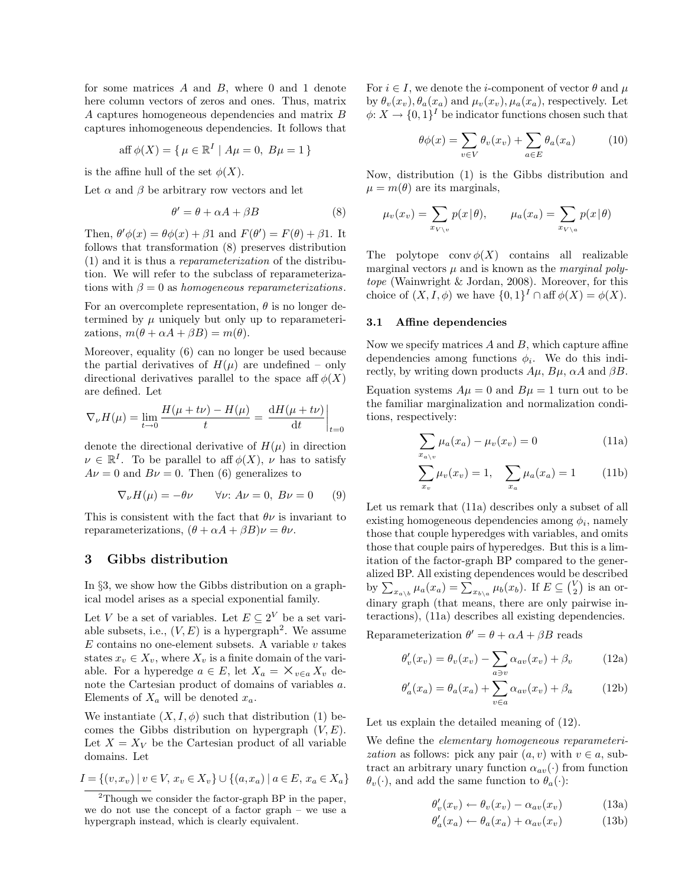for some matrices A and B, where 0 and 1 denote here column vectors of zeros and ones. Thus, matrix A captures homogeneous dependencies and matrix B captures inhomogeneous dependencies. It follows that

aff 
$$
\phi(X) = {\mu \in \mathbb{R}^I | A\mu = 0, B\mu = 1}
$$

is the affine hull of the set  $\phi(X)$ .

Let  $\alpha$  and  $\beta$  be arbitrary row vectors and let

$$
\theta' = \theta + \alpha A + \beta B \tag{8}
$$

Then,  $\theta'\phi(x) = \theta\phi(x) + \beta 1$  and  $F(\theta') = F(\theta) + \beta 1$ . It follows that transformation (8) preserves distribution (1) and it is thus a reparameterization of the distribution. We will refer to the subclass of reparameterizations with  $\beta = 0$  as homogeneous reparameterizations.

For an overcomplete representation,  $\theta$  is no longer determined by  $\mu$  uniquely but only up to reparameterizations,  $m(\theta + \alpha A + \beta B) = m(\theta)$ .

Moreover, equality (6) can no longer be used because the partial derivatives of  $H(\mu)$  are undefined – only directional derivatives parallel to the space aff  $\phi(X)$ are defined. Let

$$
\nabla_{\nu} H(\mu) = \lim_{t \to 0} \frac{H(\mu + t\nu) - H(\mu)}{t} = \left. \frac{\mathrm{d}H(\mu + t\nu)}{\mathrm{d}t} \right|_{t=0}
$$

denote the directional derivative of  $H(\mu)$  in direction  $\nu \in \mathbb{R}^I$ . To be parallel to aff  $\phi(X)$ ,  $\nu$  has to satisfy  $A\nu = 0$  and  $B\nu = 0$ . Then (6) generalizes to

$$
\nabla_{\nu} H(\mu) = -\theta \nu \qquad \forall \nu \colon A \nu = 0, \; B \nu = 0 \qquad (9)
$$

This is consistent with the fact that  $\theta \nu$  is invariant to reparameterizations,  $(\theta + \alpha A + \beta B)\nu = \theta \nu$ .

# 3 Gibbs distribution

In §3, we show how the Gibbs distribution on a graphical model arises as a special exponential family.

Let V be a set of variables. Let  $E \subseteq 2^V$  be a set variable subsets, i.e.,  $(V, E)$  is a hypergraph<sup>2</sup>. We assume  $E$  contains no one-element subsets. A variable  $v$  takes states  $x_v \in X_v$ , where  $X_v$  is a finite domain of the variable. For a hyperedge  $a \in E$ , let  $X_a = \mathsf{X}_{v \in a} X_v$  denote the Cartesian product of domains of variables a. Elements of  $X_a$  will be denoted  $x_a$ .

We instantiate  $(X, I, \phi)$  such that distribution (1) becomes the Gibbs distribution on hypergraph  $(V, E)$ . Let  $X = X_V$  be the Cartesian product of all variable domains. Let

$$
I = \{(v, x_v) \mid v \in V, x_v \in X_v\} \cup \{(a, x_a) \mid a \in E, x_a \in X_a\}
$$

For  $i \in I$ , we denote the *i*-component of vector  $\theta$  and  $\mu$ by  $\theta_v(x_v), \theta_a(x_a)$  and  $\mu_v(x_v), \mu_a(x_a)$ , respectively. Let  $\phi: X \to \{0,1\}^I$  be indicator functions chosen such that

$$
\theta\phi(x) = \sum_{v \in V} \theta_v(x_v) + \sum_{a \in E} \theta_a(x_a) \tag{10}
$$

Now, distribution (1) is the Gibbs distribution and  $\mu = m(\theta)$  are its marginals,

$$
\mu_v(x_v) = \sum_{x_{V \setminus v}} p(x|\theta), \qquad \mu_a(x_a) = \sum_{x_{V \setminus a}} p(x|\theta)
$$

The polytope conv  $\phi(X)$  contains all realizable marginal vectors  $\mu$  and is known as the *marginal poly*tope (Wainwright & Jordan, 2008). Moreover, for this choice of  $(X, I, \phi)$  we have  $\{0, 1\}^I \cap \text{aff } \phi(X) = \phi(X)$ .

#### 3.1 Affine dependencies

Now we specify matrices  $A$  and  $B$ , which capture affine dependencies among functions  $\phi_i$ . We do this indirectly, by writing down products  $A\mu$ ,  $B\mu$ ,  $\alpha A$  and  $\beta B$ .

Equation systems  $A\mu = 0$  and  $B\mu = 1$  turn out to be the familiar marginalization and normalization conditions, respectively:

$$
\sum_{x_a \setminus v} \mu_a(x_a) - \mu_v(x_v) = 0 \tag{11a}
$$

$$
\sum_{x_v} \mu_v(x_v) = 1, \quad \sum_{x_a} \mu_a(x_a) = 1 \tag{11b}
$$

Let us remark that (11a) describes only a subset of all existing homogeneous dependencies among  $\phi_i$ , namely those that couple hyperedges with variables, and omits those that couple pairs of hyperedges. But this is a limitation of the factor-graph BP compared to the generalized BP. All existing dependences would be described by  $\sum_{x_{a\backslash b}} \mu_a(x_a) = \sum_{x_{b\backslash a}} \mu_b(x_b)$ . If  $E \subseteq {V \choose 2}$  is an ordinary graph (that means, there are only pairwise interactions), (11a) describes all existing dependencies.

Reparameterization  $\theta' = \theta + \alpha A + \beta B$  reads

$$
\theta_v'(x_v) = \theta_v(x_v) - \sum_{a \ni v} \alpha_{av}(x_v) + \beta_v \tag{12a}
$$

$$
\theta'_a(x_a) = \theta_a(x_a) + \sum_{v \in a} \alpha_{av}(x_v) + \beta_a \tag{12b}
$$

Let us explain the detailed meaning of (12).

We define the *elementary homogeneous reparameteri*zation as follows: pick any pair  $(a, v)$  with  $v \in a$ , subtract an arbitrary unary function  $\alpha_{av}(\cdot)$  from function  $\theta_v(\cdot)$ , and add the same function to  $\theta_a(\cdot)$ :

$$
\theta_v'(x_v) \leftarrow \theta_v(x_v) - \alpha_{av}(x_v) \tag{13a}
$$

$$
\theta_a'(x_a) \leftarrow \theta_a(x_a) + \alpha_{av}(x_v) \tag{13b}
$$

<sup>2</sup>Though we consider the factor-graph BP in the paper, we do not use the concept of a factor graph – we use a hypergraph instead, which is clearly equivalent.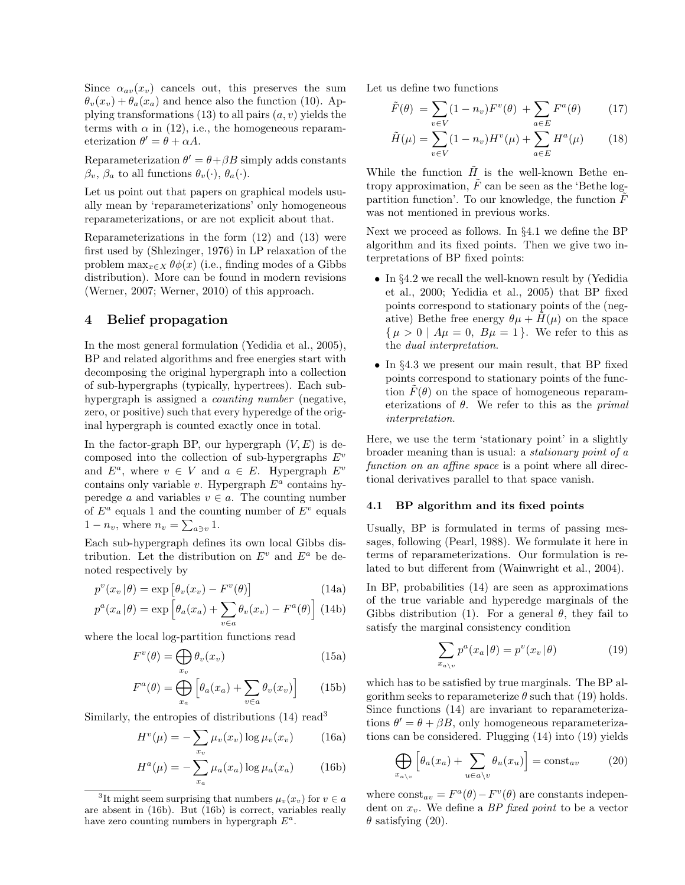Since  $\alpha_{av}(x_v)$  cancels out, this preserves the sum  $\theta_v(x_v) + \theta_a(x_a)$  and hence also the function (10). Applying transformations (13) to all pairs  $(a, v)$  yields the terms with  $\alpha$  in (12), i.e., the homogeneous reparameterization  $\theta' = \theta + \alpha A$ .

Reparameterization  $\theta' = \theta + \beta B$  simply adds constants  $\beta_v$ ,  $\beta_a$  to all functions  $\theta_v(\cdot)$ ,  $\theta_a(\cdot)$ .

Let us point out that papers on graphical models usually mean by 'reparameterizations' only homogeneous reparameterizations, or are not explicit about that.

Reparameterizations in the form (12) and (13) were first used by (Shlezinger, 1976) in LP relaxation of the problem  $\max_{x \in X} \theta \phi(x)$  (i.e., finding modes of a Gibbs distribution). More can be found in modern revisions (Werner, 2007; Werner, 2010) of this approach.

# 4 Belief propagation

In the most general formulation (Yedidia et al., 2005), BP and related algorithms and free energies start with decomposing the original hypergraph into a collection of sub-hypergraphs (typically, hypertrees). Each subhypergraph is assigned a counting number (negative, zero, or positive) such that every hyperedge of the original hypergraph is counted exactly once in total.

In the factor-graph BP, our hypergraph  $(V, E)$  is decomposed into the collection of sub-hypergraphs  $E^v$ and  $E^a$ , where  $v \in V$  and  $a \in E$ . Hypergraph  $E^v$ contains only variable v. Hypergraph  $E^a$  contains hyperedge a and variables  $v \in a$ . The counting number of  $E^a$  equals 1 and the counting number of  $E^v$  equals  $1 - n_v$ , where  $n_v = \sum_{a \ni v} 1$ .

Each sub-hypergraph defines its own local Gibbs distribution. Let the distribution on  $E^v$  and  $E^a$  be denoted respectively by

$$
p^{v}(x_v | \theta) = \exp \left[\theta_v(x_v) - F^v(\theta)\right]
$$
 (14a)

$$
p^{a}(x_{a}|\theta) = \exp \left[\theta_{a}(x_{a}) + \sum_{v \in a} \theta_{v}(x_{v}) - F^{a}(\theta)\right]
$$
 (14b)

where the local log-partition functions read

$$
F^v(\theta) = \bigoplus_{x_v} \theta_v(x_v)
$$
 (15a)

$$
F^{a}(\theta) = \bigoplus_{x_a} \left[ \theta_a(x_a) + \sum_{v \in a} \theta_v(x_v) \right]
$$
 (15b)

Similarly, the entropies of distributions  $(14)$  read<sup>3</sup>

$$
H^v(\mu) = -\sum_{x_v} \mu_v(x_v) \log \mu_v(x_v) \tag{16a}
$$

$$
H^{a}(\mu) = -\sum_{x_a} \mu_a(x_a) \log \mu_a(x_a) \qquad (16b)
$$

Let us define two functions

$$
\tilde{F}(\theta) = \sum_{v \in V} (1 - n_v) F^v(\theta) + \sum_{a \in E} F^a(\theta) \tag{17}
$$

$$
\tilde{H}(\mu) = \sum_{v \in V} (1 - n_v) H^v(\mu) + \sum_{a \in E} H^a(\mu) \tag{18}
$$

While the function  $\tilde{H}$  is the well-known Bethe entropy approximation,  $\tilde{F}$  can be seen as the 'Bethe logpartition function'. To our knowledge, the function  $\tilde{F}$ was not mentioned in previous works.

Next we proceed as follows. In §4.1 we define the BP algorithm and its fixed points. Then we give two interpretations of BP fixed points:

- In §4.2 we recall the well-known result by (Yedidia et al., 2000; Yedidia et al., 2005) that BP fixed points correspond to stationary points of the (negative) Bethe free energy  $\theta\mu + H(\mu)$  on the space  $\{\mu > 0 \mid A\mu = 0, B\mu = 1\}.$  We refer to this as the dual interpretation.
- In §4.3 we present our main result, that BP fixed points correspond to stationary points of the function  $F(\theta)$  on the space of homogeneous reparameterizations of  $\theta$ . We refer to this as the *primal* interpretation.

Here, we use the term 'stationary point' in a slightly broader meaning than is usual: a stationary point of a function on an affine space is a point where all directional derivatives parallel to that space vanish.

#### 4.1 BP algorithm and its fixed points

Usually, BP is formulated in terms of passing messages, following (Pearl, 1988). We formulate it here in terms of reparameterizations. Our formulation is related to but different from (Wainwright et al., 2004).

In BP, probabilities (14) are seen as approximations of the true variable and hyperedge marginals of the Gibbs distribution (1). For a general  $\theta$ , they fail to satisfy the marginal consistency condition

$$
\sum_{x_{a\setminus v}} p^a(x_a|\theta) = p^v(x_v|\theta)
$$
 (19)

which has to be satisfied by true marginals. The BP algorithm seeks to reparameterize  $\theta$  such that (19) holds. Since functions (14) are invariant to reparameterizations  $\theta' = \theta + \beta B$ , only homogeneous reparameterizations can be considered. Plugging (14) into (19) yields

$$
\bigoplus_{x_{a\backslash v}} \left[ \theta_a(x_a) + \sum_{u \in a\backslash v} \theta_u(x_u) \right] = \text{const}_{av} \tag{20}
$$

where  $\text{const}_{av} = F^a(\theta) - F^v(\theta)$  are constants independent on  $x_v$ . We define a *BP* fixed point to be a vector  $\theta$  satisfying (20).

<sup>&</sup>lt;sup>3</sup>It might seem surprising that numbers  $\mu_v(x_v)$  for  $v \in a$ are absent in (16b). But (16b) is correct, variables really have zero counting numbers in hypergraph  $E^a$ .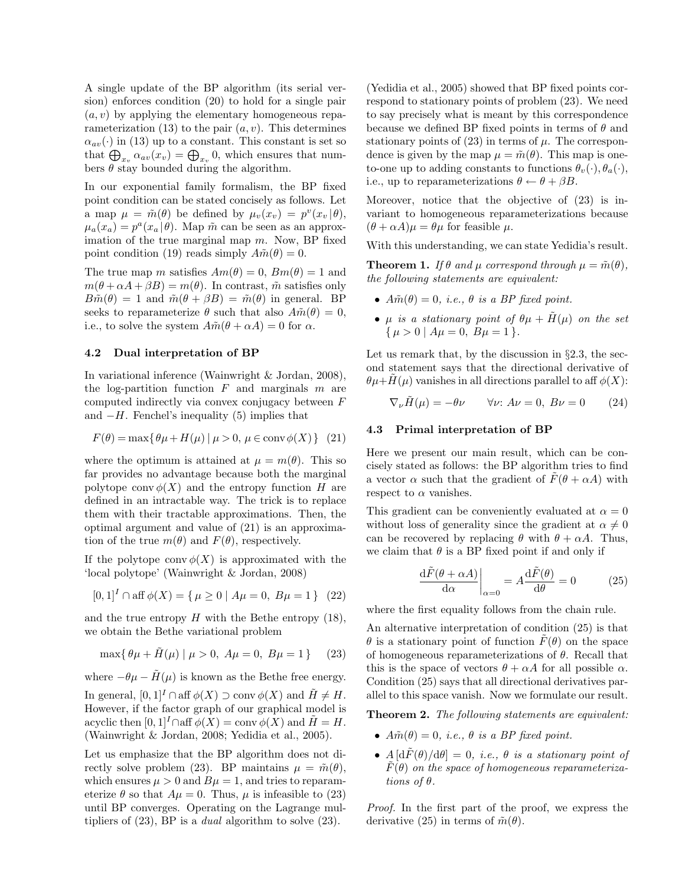A single update of the BP algorithm (its serial version) enforces condition (20) to hold for a single pair  $(a, v)$  by applying the elementary homogeneous reparameterization (13) to the pair  $(a, v)$ . This determines  $\alpha_{av}(\cdot)$  in (13) up to a constant. This constant is set so that  $\bigoplus_{x_v} \alpha_{av}(x_v) = \bigoplus_{x_v} 0$ , which ensures that numbers  $\theta$  stay bounded during the algorithm.

In our exponential family formalism, the BP fixed point condition can be stated concisely as follows. Let a map  $\mu = \tilde{m}(\theta)$  be defined by  $\mu_v(x_v) = p^v(x_v | \theta)$ ,  $\mu_a(x_a) = p^a(x_a | \theta)$ . Map  $\tilde{m}$  can be seen as an approximation of the true marginal map  $m$ . Now, BP fixed point condition (19) reads simply  $A\tilde{m}(\theta) = 0$ .

The true map m satisfies  $Am(\theta) = 0$ ,  $Bm(\theta) = 1$  and  $m(\theta + \alpha A + \beta B) = m(\theta)$ . In contrast,  $\tilde{m}$  satisfies only  $B\tilde{m}(\theta) = 1$  and  $\tilde{m}(\theta + \beta B) = \tilde{m}(\theta)$  in general. BP seeks to reparameterize  $\theta$  such that also  $A\tilde{m}(\theta) = 0$ , i.e., to solve the system  $A\tilde{m}(\theta + \alpha A) = 0$  for  $\alpha$ .

#### 4.2 Dual interpretation of BP

In variational inference (Wainwright & Jordan, 2008), the log-partition function  $F$  and marginals  $m$  are computed indirectly via convex conjugacy between F and  $-H$ . Fenchel's inequality (5) implies that

$$
F(\theta) = \max\{\theta\mu + H(\mu) \mid \mu > 0, \ \mu \in \operatorname{conv}\phi(X)\} \tag{21}
$$

where the optimum is attained at  $\mu = m(\theta)$ . This so far provides no advantage because both the marginal polytope conv  $\phi(X)$  and the entropy function H are defined in an intractable way. The trick is to replace them with their tractable approximations. Then, the optimal argument and value of (21) is an approximation of the true  $m(\theta)$  and  $F(\theta)$ , respectively.

If the polytope conv  $\phi(X)$  is approximated with the 'local polytope' (Wainwright & Jordan, 2008)

$$
[0,1]^I \cap \text{aff } \phi(X) = \{ \mu \ge 0 \mid A\mu = 0, B\mu = 1 \} \tag{22}
$$

and the true entropy  $H$  with the Bethe entropy (18), we obtain the Bethe variational problem

$$
\max\{\theta\mu + \tilde{H}(\mu) \mid \mu > 0, A\mu = 0, B\mu = 1\}
$$
 (23)

where  $-\theta\mu - \tilde{H}(\mu)$  is known as the Bethe free energy. In general,  $[0,1]^I \cap \text{aff } \phi(X) \supset \text{conv } \phi(X)$  and  $\tilde{H} \neq H$ . However, if the factor graph of our graphical model is acyclic then  $[0, 1]^I \cap \text{aff } \phi(X) = \text{conv } \phi(X)$  and  $\tilde{H} = H$ . (Wainwright & Jordan, 2008; Yedidia et al., 2005).

Let us emphasize that the BP algorithm does not directly solve problem (23). BP maintains  $\mu = \tilde{m}(\theta)$ , which ensures  $\mu > 0$  and  $B\mu = 1$ , and tries to reparameterize  $\theta$  so that  $A\mu = 0$ . Thus,  $\mu$  is infeasible to (23) until BP converges. Operating on the Lagrange multipliers of  $(23)$ , BP is a *dual* algorithm to solve  $(23)$ .

(Yedidia et al., 2005) showed that BP fixed points correspond to stationary points of problem (23). We need to say precisely what is meant by this correspondence because we defined BP fixed points in terms of  $\theta$  and stationary points of  $(23)$  in terms of  $\mu$ . The correspondence is given by the map  $\mu = \tilde{m}(\theta)$ . This map is oneto-one up to adding constants to functions  $\theta_n(\cdot), \theta_n(\cdot),$ i.e., up to reparameterizations  $\theta \leftarrow \theta + \beta B$ .

Moreover, notice that the objective of (23) is invariant to homogeneous reparameterizations because  $(\theta + \alpha A)\mu = \theta\mu$  for feasible  $\mu$ .

With this understanding, we can state Yedidia's result.

**Theorem 1.** If  $\theta$  and  $\mu$  correspond through  $\mu = \tilde{m}(\theta)$ , the following statements are equivalent:

- $A\tilde{m}(\theta) = 0$ , *i.e.*,  $\theta$  *is a BP fixed point.*
- $\mu$  is a stationary point of  $\theta\mu + \tilde{H}(\mu)$  on the set  $\{\mu > 0 \mid A\mu = 0, B\mu = 1\}.$

Let us remark that, by the discussion in  $\S 2.3$ , the second statement says that the directional derivative of  $\theta\mu + H(\mu)$  vanishes in all directions parallel to aff  $\phi(X)$ :

$$
\nabla_{\nu}\tilde{H}(\mu) = -\theta\nu \qquad \forall \nu \colon A\nu = 0, \; B\nu = 0 \qquad (24)
$$

#### 4.3 Primal interpretation of BP

Here we present our main result, which can be concisely stated as follows: the BP algorithm tries to find a vector  $\alpha$  such that the gradient of  $\tilde{F}(\theta + \alpha A)$  with respect to  $\alpha$  vanishes.

This gradient can be conveniently evaluated at  $\alpha = 0$ without loss of generality since the gradient at  $\alpha \neq 0$ can be recovered by replacing  $\theta$  with  $\theta + \alpha A$ . Thus, we claim that  $\theta$  is a BP fixed point if and only if

$$
\left. \frac{\mathrm{d}\tilde{F}(\theta + \alpha A)}{\mathrm{d}\alpha} \right|_{\alpha=0} = A \frac{\mathrm{d}\tilde{F}(\theta)}{\mathrm{d}\theta} = 0 \tag{25}
$$

where the first equality follows from the chain rule.

An alternative interpretation of condition (25) is that  $\theta$  is a stationary point of function  $F(\theta)$  on the space of homogeneous reparameterizations of  $\theta$ . Recall that this is the space of vectors  $\theta + \alpha A$  for all possible  $\alpha$ . Condition (25) says that all directional derivatives parallel to this space vanish. Now we formulate our result.

Theorem 2. The following statements are equivalent:

- $A\tilde{m}(\theta) = 0$ , *i.e.*,  $\theta$  *is a BP fixed point.*
- $A[\mathrm{d}\tilde{F}(\theta)/\mathrm{d}\theta]=0$ , *i.e.*,  $\theta$  is a stationary point of  $\tilde{F}(\theta)$  on the space of homogeneous reparameterizations of θ.

Proof. In the first part of the proof, we express the derivative (25) in terms of  $\tilde{m}(\theta)$ .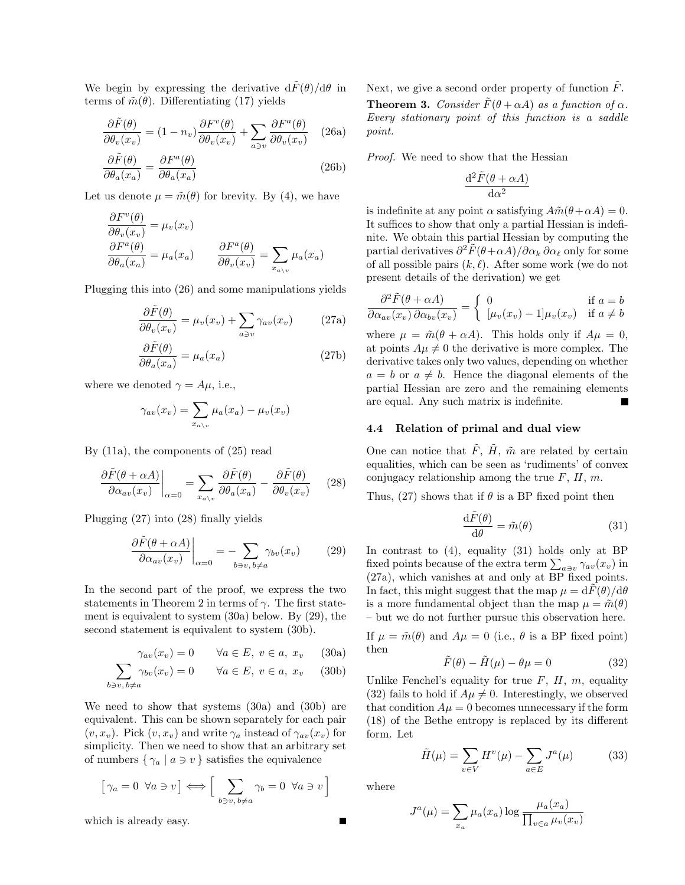We begin by expressing the derivative  $d\tilde{F}(\theta)/d\theta$  in terms of  $\tilde{m}(\theta)$ . Differentiating (17) yields

$$
\frac{\partial \tilde{F}(\theta)}{\partial \theta_v(x_v)} = (1 - n_v) \frac{\partial F^v(\theta)}{\partial \theta_v(x_v)} + \sum_{a \ni v} \frac{\partial F^a(\theta)}{\partial \theta_v(x_v)} \quad (26a)
$$

$$
\frac{\partial \tilde{F}(\theta)}{\partial \theta_a(x_a)} = \frac{\partial F^a(\theta)}{\partial \theta_a(x_a)}
$$
(26b)

Let us denote  $\mu = \tilde{m}(\theta)$  for brevity. By (4), we have

$$
\frac{\partial F^v(\theta)}{\partial \theta_v(x_v)} = \mu_v(x_v)
$$
  

$$
\frac{\partial F^a(\theta)}{\partial \theta_a(x_a)} = \mu_a(x_a) \qquad \frac{\partial F^a(\theta)}{\partial \theta_v(x_v)} = \sum_{x_{a\backslash v}} \mu_a(x_a)
$$

Plugging this into (26) and some manipulations yields

$$
\frac{\partial \tilde{F}(\theta)}{\partial \theta_v(x_v)} = \mu_v(x_v) + \sum_{a \ni v} \gamma_{av}(x_v) \tag{27a}
$$

$$
\frac{\partial \tilde{F}(\theta)}{\partial \theta_a(x_a)} = \mu_a(x_a)
$$
\n(27b)

where we denoted  $\gamma = A\mu$ , i.e.,

$$
\gamma_{av}(x_v) = \sum_{x_{a\backslash v}} \mu_a(x_a) - \mu_v(x_v)
$$

By (11a), the components of (25) read

$$
\frac{\partial \tilde{F}(\theta + \alpha A)}{\partial \alpha_{av}(x_v)}\bigg|_{\alpha = 0} = \sum_{x_{a\backslash v}} \frac{\partial \tilde{F}(\theta)}{\partial \theta_a(x_a)} - \frac{\partial \tilde{F}(\theta)}{\partial \theta_v(x_v)} \qquad (28)
$$

Plugging (27) into (28) finally yields

$$
\frac{\partial \tilde{F}(\theta + \alpha A)}{\partial \alpha_{av}(x_v)} \bigg|_{\alpha = 0} = -\sum_{b \ni v, b \neq a} \gamma_{bv}(x_v) \tag{29}
$$

In the second part of the proof, we express the two statements in Theorem 2 in terms of  $\gamma$ . The first statement is equivalent to system (30a) below. By (29), the second statement is equivalent to system (30b).

$$
\gamma_{av}(x_v) = 0 \qquad \forall a \in E, \ v \in a, \ x_v \qquad (30a)
$$

$$
\sum_{b \ni v, b \neq a} \gamma_{bv}(x_v) = 0 \qquad \forall a \in E, \ v \in a, \ x_v \qquad (30b)
$$

We need to show that systems (30a) and (30b) are equivalent. This can be shown separately for each pair  $(v, x_v)$ . Pick  $(v, x_v)$  and write  $\gamma_a$  instead of  $\gamma_{av}(x_v)$  for simplicity. Then we need to show that an arbitrary set of numbers  $\{\gamma_a \mid a \ni v\}$  satisfies the equivalence

$$
\left[\gamma_a = 0 \ \forall a \ni v\right] \Longleftrightarrow \left[\sum_{b \ni v, b \neq a} \gamma_b = 0 \ \forall a \ni v\right]
$$

which is already easy.

Next, we give a second order property of function  $\tilde{F}$ . **Theorem 3.** Consider  $\tilde{F}(\theta + \alpha A)$  as a function of  $\alpha$ . Every stationary point of this function is a saddle point.

Proof. We need to show that the Hessian

$$
\frac{\mathrm{d}^2 \tilde{F}(\theta + \alpha A)}{\mathrm{d}\alpha^2}
$$

is indefinite at any point  $\alpha$  satisfying  $A\tilde{m}(\theta + \alpha A) = 0$ . It suffices to show that only a partial Hessian is indefinite. We obtain this partial Hessian by computing the partial derivatives  $\partial^2 \tilde{F}(\theta + \alpha A)/\partial \alpha_k \partial \alpha_\ell$  only for some of all possible pairs  $(k, \ell)$ . After some work (we do not present details of the derivation) we get

$$
\frac{\partial^2 \tilde{F}(\theta + \alpha A)}{\partial \alpha_{av}(x_v) \partial \alpha_{bv}(x_v)} = \begin{cases} 0 & \text{if } a = b \\ [\mu_v(x_v) - 1] \mu_v(x_v) & \text{if } a \neq b \end{cases}
$$

where  $\mu = \tilde{m}(\theta + \alpha A)$ . This holds only if  $A\mu = 0$ , at points  $A\mu \neq 0$  the derivative is more complex. The derivative takes only two values, depending on whether  $a = b$  or  $a \neq b$ . Hence the diagonal elements of the partial Hessian are zero and the remaining elements are equal. Any such matrix is indefinite.

#### 4.4 Relation of primal and dual view

One can notice that  $\tilde{F}$ ,  $\tilde{H}$ ,  $\tilde{m}$  are related by certain equalities, which can be seen as 'rudiments' of convex conjugacy relationship among the true  $F, H, m$ .

Thus, (27) shows that if  $\theta$  is a BP fixed point then

$$
\frac{\mathrm{d}\tilde{F}(\theta)}{\mathrm{d}\theta} = \tilde{m}(\theta) \tag{31}
$$

In contrast to (4), equality (31) holds only at BP fixed points because of the extra term  $\sum_{a \ni v} \gamma_{av}(x_v)$  in (27a), which vanishes at and only at BP fixed points. In fact, this might suggest that the map  $\mu = dF(\theta)/d\theta$ is a more fundamental object than the map  $\mu = \tilde{m}(\theta)$ – but we do not further pursue this observation here.

If  $\mu = \tilde{m}(\theta)$  and  $A\mu = 0$  (i.e.,  $\theta$  is a BP fixed point) then

$$
\tilde{F}(\theta) - \tilde{H}(\mu) - \theta\mu = 0 \tag{32}
$$

Unlike Fenchel's equality for true  $F$ ,  $H$ ,  $m$ , equality (32) fails to hold if  $A\mu \neq 0$ . Interestingly, we observed that condition  $A\mu = 0$  becomes unnecessary if the form (18) of the Bethe entropy is replaced by its different form. Let

$$
\tilde{H}(\mu) = \sum_{v \in V} H^v(\mu) - \sum_{a \in E} J^a(\mu)
$$
 (33)

where

П

$$
J^{a}(\mu) = \sum_{x_a} \mu_a(x_a) \log \frac{\mu_a(x_a)}{\prod_{v \in a} \mu_v(x_v)}
$$